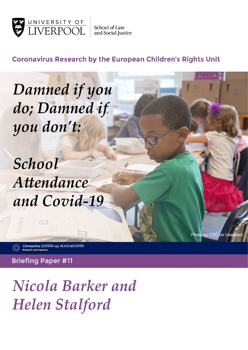

**School of Law** and Social Justice

**Coronavirus Research by the European Children's Rights Unit** 

Photo by CDC on Unsplash

Damned if you do; Damned if you don't:

School Attendance and Covid-19

Coronavirus (COVID-19) #LivUniCOVID

**Briefing Paper #11** 

 $rac{1}{2}$ 

Nicola Barker and **Helen Stalford**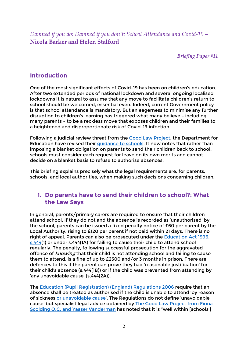*Damned if you do; Damned if you don't: School Attendance and Covid-19 –* **Nicola Barker and Helen Stalford**

*Briefing Paper #11*

### **Introduction**

One of the most significant effects of Covid-19 has been on children's education. After two extended periods of national lockdown and several ongoing localised lockdowns it is natural to assume that any move to facilitate children's return to school should be welcomed, essential even. Indeed, current Government policy is that school attendance is mandatory. But an eagerness to minimise any further disruption to children's learning has triggered what many believe – including many parents – to be a reckless move that exposes children and their families to a heightened and disproportionate risk of Covid-19 infection.

Following a judicial review threat from the [Good Law Project,](https://goodlawproject.org/update/schools-must-support-cev-families/) the Department for Education have revised their [guidance to schools.](https://www.gov.uk/government/publications/actions-for-schools-during-the-coronavirus-outbreak/schools-covid-19-operational-guidance) It now notes that rather than imposing a blanket obligation on parents to send their children back to school, schools must consider each request for leave on its own merits and cannot decide on a blanket basis to refuse to authorise absences.

This briefing explains precisely what the legal requirements are, for parents, schools, and local authorities, when making such decisions concerning children.

### **1. Do parents have to send their children to school?: What the Law Says**

In general, parents/primary carers are required to ensure that their children attend school. If they do not and the absence is recorded as 'unauthorised' by the school, parents can be issued a fixed penalty notice of £60 per parent by the Local Authority, rising to £120 per parent if not paid within 21 days. There is no right of appeal. Parents can also be prosecuted under the [Education Act 1996,](https://www.legislation.gov.uk/ukpga/1996/56/section/444)  [s.444\(](https://www.legislation.gov.uk/ukpga/1996/56/section/444)1) or under s.444(1A) for failing to cause their child to attend school regularly. The penalty, following successful prosecution for the aggravated offence of knowing that their child is not attending school and failing to cause them to attend, is a fine of up to £2500 and/or 3 months in prison. There are defences to this if the parent can prove they had 'reasonable justification' for their child's absence (s.444(1B)) or if the child was prevented from attending by 'any unavoidable cause' (s.444(2A)).

The [Education \(Pupil Registration\) \(England\) Regulations 2006](https://www.legislation.gov.uk/uksi/2006/1751/contents/made) require that an absence shall be treated as authorised if the child is unable to attend 'by reason of sickness [or unavoidable cause'](https://www.legislation.gov.uk/uksi/2006/1751/regulation/6/made). The Regulations do not define 'unavoidable cause' but specialist legal advice obtained by [The Good Law Project](https://drive.google.com/file/d/1J7BmKErf7QNicxhOH3In5NEBDmPD2hs7/view) from Fiona Scolding Q.C. and Yaaser Vanderman has noted that it is "well within [schools']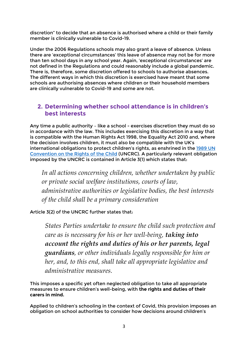discretion" to decide that an absence is authorised where a child or their family member is clinically vulnerable to Covid-19.

Under the 2006 Regulations schools may also grant a leave of absence. Unless there are 'exceptional circumstances' this leave of absence may not be for more than ten school days in any school year. Again, 'exceptional circumstances' are not defined in the Regulations and could reasonably include a global pandemic. There is, therefore, some discretion offered to schools to authorise absences. The different ways in which this discretion is exercised have meant that some schools are authorising absences where children or their household members are clinically vulnerable to Covid-19 and some are not.

# **2. Determining whether school attendance is in children's best interests**

Any time a public authority – like a school - exercises discretion they must do so in accordance with the law. This includes exercising this discretion in a way that is compatible with the Human Rights Act 1998, the Equality Act 2010 and, where the decision involves children, it must also be compatible with the UK's international obligations to protect children's rights, as enshrined in the [1989 UN](https://downloads.unicef.org.uk/wp-content/uploads/2016/08/unicef-convention-rights-child-uncrc.pdf?_adal_sd=www.unicef.org.uk.1635262137215&_adal_ca=so%3DLive%26me%3Dorganic%26ca%3D(not%2520set)%26co%3D(not%2520set)%26ke%3D(not%2520set).1635262137215&_adal_cw=1635262133668.1635262137215&_adal_id=05f53f22-4ce0-47e4-b914-16e44fdcb63d.1635262134.2.1635262134.1635262134.9db235ed-efdc-4a50-8ce2-eb57b522f3b1.1635262137215&_ga=2.106654980.684304832.1635262133-1928857528.1554987674)  [Convention on the Rights of the Child](https://downloads.unicef.org.uk/wp-content/uploads/2016/08/unicef-convention-rights-child-uncrc.pdf?_adal_sd=www.unicef.org.uk.1635262137215&_adal_ca=so%3DLive%26me%3Dorganic%26ca%3D(not%2520set)%26co%3D(not%2520set)%26ke%3D(not%2520set).1635262137215&_adal_cw=1635262133668.1635262137215&_adal_id=05f53f22-4ce0-47e4-b914-16e44fdcb63d.1635262134.2.1635262134.1635262134.9db235ed-efdc-4a50-8ce2-eb57b522f3b1.1635262137215&_ga=2.106654980.684304832.1635262133-1928857528.1554987674) (UNCRC). A particularly relevant obligation imposed by the UNCRC is contained in Article 3(1) which states that:

*In all actions concerning children, whether undertaken by public or private social welfare institutions, courts of law, administrative authorities or legislative bodies, the best interests of the child shall be a primary consideration*

Article 3(2) of the UNCRC further states that:

*States Parties undertake to ensure the child such protection and care as is necessary for his or her well-being, taking into account the rights and duties of his or her parents, legal guardians, or other individuals legally responsible for him or her, and, to this end, shall take all appropriate legislative and administrative measures.*

This imposes a specific yet often neglected obligation to take all appropriate measures to ensure children's well-being, with **the rights and duties of their carers in mind.** 

Applied to children's schooling in the context of Covid, this provision imposes an obligation on school authorities to consider how decisions around children's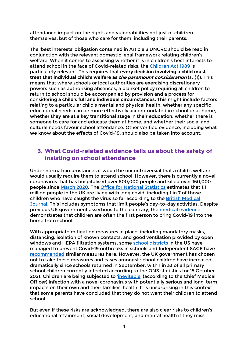attendance impact on the rights and vulnerabilities not just of children themselves, but of those who care for them, including their parents**.** 

The 'best interests' obligation contained in Article 3 UNCRC should be read in conjunction with the relevant domestic legal framework relating children's welfare. When it comes to assessing whether it is in children's best interests to attend school in the face of Covid-related risks, the [Children Act 1989](https://www.legislation.gov.uk/ukpga/1989/41/section/1) is particularly relevant. This requires that **every decision involving a child must treat that individual child's welfare as** the paramount consideration (s.1(1)). This means that where schools or local authorities are exercising discretionary powers such as authorising absences, a blanket policy requiring all children to return to school should be accompanied by provision and a process for considering **a child's full and individual circumstances.** This might include factors relating to a particular child's mental and physical health, whether any specific educational needs can be more effectively accommodated in school or at home, whether they are at a key transitional stage in their education, whether there is someone to care for and educate them at home, and whether their social and cultural needs favour school attendance. Other verified evidence, including what we know about the effects of Covid-19, should also be taken into account.

# **3. What Covid-related evidence tells us about the safety of insisting on school attendance**

Under normal circumstances it would be uncontroversial that a child's welfare would usually require them to attend school. However, there is currently a novel coronavirus that has hospitalised over 500,000 people and killed over 160,000 people since [March 2020.](https://coronavirus.data.gov.uk/) The [Office for National Statistics](https://www.ons.gov.uk/peoplepopulationandcommunity/healthandsocialcare/conditionsanddiseases/bulletins/prevalenceofongoingsymptomsfollowingcoronaviruscovid19infectionintheuk/7october2021#prevalence-of-ongoing-symptoms-following-coronavirus-infection-in-the-uk-data) estimates that 1.1 million people in the UK are living with long covid, including 1 in 7 of those children who have caught the virus so far according to the [British Medical](https://www.bmj.com/content/374/bmj.n2157)  [Journal.](https://www.bmj.com/content/374/bmj.n2157) This includes symptoms that limit people's day-to-day activities. Despite previous UK government assertions to the contrary, the [medical evidence](https://jamanetwork.com/journals/jamanetworkopen/fullarticle/2784812) demonstrates that children are often the first person to bring Covid-19 into the home from school.

With appropriate mitigation measures in place, including mandatory masks, distancing, isolation of known contacts, and good ventilation provided by open windows and HEPA filtration systems, some [school districts](https://www.nytimes.com/2021/10/19/us/california-covid-school-closures.html) in the US have managed to prevent Covid-19 outbreaks in schools and Independent SAGE have [recommended](https://www.independentsage.org/september-2021-an-urgent-plan-for-safer-schools/) similar measures here. However, the UK government has chosen not to take these measures and cases amongst school children have increased dramatically since schools returned in September, with 1 in 33 of all primary school children currently infected according to the ONS statistics for 15 October 2021. Children are being subjected to ['inevitable'](https://www.theguardian.com/society/2021/sep/22/chris-whitty-warns-mps-it-is-inevitable-unvaccinated-children-will-catch-covid) (according to the Chief Medical Officer) infection with a novel coronavirus with potentially serious and long-term impacts on their own and their families' health. It is unsurprising in this context that some parents have concluded that they do not want their children to attend school.

But even if these risks are acknowledged, there are also clear risks to children's educational attainment, social development, and mental health if they miss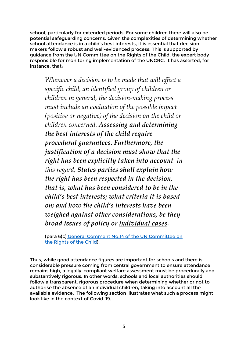school, particularly for extended periods. For some children there will also be potential safeguarding concerns. Given the complexities of determining whether school attendance is in a child's best interests, it is essential that decisionmakers follow a robust and well-evidenced process. This is supported by guidance from the UN Committee on the Rights of the Child, the expert body responsible for monitoring implementation of the UNCRC. It has asserted, for instance, that:

*Whenever a decision is to be made that will affect a specific child, an identified group of children or children in general, the decision-making process must include an evaluation of the possible impact (positive or negative) of the decision on the child or children concerned. Assessing and determining the best interests of the child require procedural guarantees. Furthermore, the justification of a decision must show that the right has been explicitly taken into account. In this regard, States parties shall explain how the right has been respected in the decision, that is, what has been considered to be in the child's best interests; what criteria it is based on; and how the child's interests have been weighed against other considerations, be they broad issues of policy or individual cases.*

(para 6(c) [General Comment No.14 of the UN Committee on](https://www.refworld.org/docid/51a84b5e4.html)  [the Rights of the Child\)](https://www.refworld.org/docid/51a84b5e4.html).

Thus, while good attendance figures are important for schools and there is considerable pressure coming from central government to ensure attendance remains high, a legally-compliant welfare assessment must be procedurally and substantively rigorous. In other words, schools and local authorities should follow a transparent, rigorous procedure when determining whether or not to authorise the absence of an individual children, taking into account all the available evidence. The following section illustrates what such a process might look like in the context of Covid-19.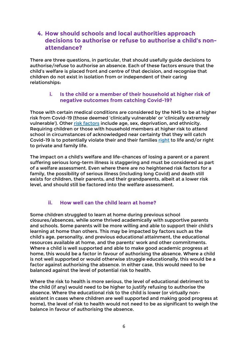# **4. How should schools and local authorities approach decisions to authorise or refuse to authorise a child's nonattendance?**

There are three questions, in particular, that should usefully guide decisions to authorise/refuse to authorise an absence. Each of these factors ensure that the child's welfare is placed front and centre of that decision, and recognise that children do not exist in isolation from or independent of their caring relationships:

#### **i. Is the child or a member of their household at higher risk of negative outcomes from catching Covid-19?**

Those with certain medical conditions are considered by the NHS to be at higher risk from Covid-19 (those deemed 'clinically vulnerable' or 'clinically extremely vulnerable'). Other [risk factors](https://www.nature.com/articles/s41586-020-2521-4) include age, sex, deprivation, and ethnicity. Requiring children or those with household members at higher risk to attend school in circumstances of acknowledged near certainty that they will catch Covid-19 is to potentially violate their and their families [right](https://www.echr.coe.int/Documents/Convention_ENG.pdf) to life and/or right to private and family life.

The impact on a child's welfare and life-chances of losing a parent or a parent suffering serious long-term illness is staggering and must be considered as part of a welfare assessment. Even where there are no heightened risk factors for a family, the possibility of serious illness (including long Covid) and death still exists for children, their parents, and their grandparents, albeit at a lower risk level, and should still be factored into the welfare assessment.

#### **ii. How well can the child learn at home?**

Some children struggled to learn at home during previous school closures/absences, while some thrived academically with supportive parents and schools. Some parents will be more willing and able to support their child's learning at home than others. This may be impacted by factors such as the child's age, personality, and previous educational attainment, the educational resources available at home, and the parents' work and other commitments. Where a child is well supported and able to make good academic progress at home, this would be a factor in favour of authorising the absence. Where a child is not well supported or would otherwise struggle educationally, this would be a factor against authorising the absence. In either case, this would need to be balanced against the level of potential risk to health.

Where the risk to health is more serious, the level of educational detriment to the child (if any) would need to be higher to justify refusing to authorise the absence. Where the educational risk to the child is lower (or virtually nonexistent in cases where children are well supported and making good progress at home), the level of risk to health would not need to be as significant to weigh the balance in favour of authorising the absence.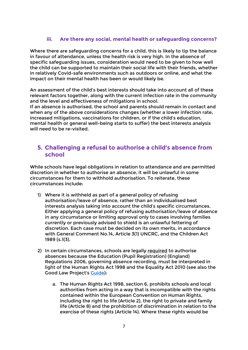#### **iii. Are there any social, mental health or safeguarding concerns?**

Where there are safeguarding concerns for a child, this is likely to tip the balance in favour of attendance, unless the health risk is very high. In the absence of specific safeguarding issues, consideration would need to be given to how well the child can be supported to maintain their social life with their friends, whether in relatively Covid-safe environments such as outdoors or online, and what the impact on their mental health has been or would likely be.

An assessment of the child's best interests should take into account all of these relevant factors together, along with the current infection rate in the community and the level and effectiveness of mitigations in school.

If an absence is authorised, the school and parents should remain in contact and when any of the above considerations changes (whether a lower infection rate, increased mitigations, vaccinations for children, or if the child's education, mental health or general well-being starts to suffer) the best interests analysis will need to be re-visited.

### **5. Challenging a refusal to authorise a child's absence from school**

While schools have legal obligations in relation to attendance and are permitted discretion in whether to authorise an absence, it will be unlawful in some circumstances for them to withhold authorisation. To reiterate, these circumstances include:

- 1) Where it is withheld as part of a general policy of refusing authorisation/leave of absence, rather than an individualised best interests analysis taking into account the child's specific circumstances. Either applying a general policy of refusing authorisation/leave of absence in any circumstance or limiting approval only to cases involving families currently or previously advised to shield is an unlawful fettering of discretion. Each case must be decided on its own merits, in accordance with General Comment No.14, Article 3(1) UNCRC, and the Children Act 1989 (s.1(3).
- 2) In certain circumstances, schools are legally required to authorise absences because the Education (Pupil Registration) (England) Regulations 2006, governing absence recording, must be interpreted in light of the Human Rights Act 1998 and the Equality Act 2010 (see also the Good Law Project's [Guide\)](https://drive.google.com/file/d/1m5hHLm3SeSREyvsAU3sZtSOjK23vANSm/view):
	- a. The Human Rights Act 1998, section 6, prohibits schools and local authorities from acting in a way that is incompatible with the rights contained within the European Convention on Human Rights, including the right to life (Article 2), the right to private and family life (Article 8) and the prohibition of discrimination in relation to the exercise of these rights (Article 14). Where these rights would be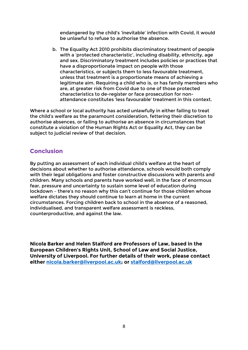endangered by the child's 'inevitable' infection with Covid, it would be unlawful to refuse to authorise the absence.

b. The Equality Act 2010 prohibits discriminatory treatment of people with a 'protected characteristic', including disability, ethnicity, age and sex. Discriminatory treatment includes policies or practices that have a disproportionate impact on people with those characteristics, or subjects them to less favourable treatment, unless that treatment is a proportionate means of achieving a legitimate aim. Requiring a child who is, or has family members who are, at greater risk from Covid due to one of those protected characteristics to de-register or face prosecution for nonattendance constitutes 'less favourable' treatment in this context.

Where a school or local authority has acted unlawfully in either failing to treat the child's welfare as the paramount consideration, fettering their discretion to authorise absences, or failing to authorise an absence in circumstances that constitute a violation of the Human Rights Act or Equality Act, they can be subject to judicial review of that decision.

## **Conclusion**

By putting an assessment of each individual child's welfare at the heart of decisions about whether to authorise attendance, schools would both comply with their legal obligations and foster constructive discussions with parents and children. Many schools and parents have worked well, in the face of enormous fear, pressure and uncertainty to sustain some level of education during lockdown – there's no reason why this can't continue for those children whose welfare dictates they should continue to learn at home in the current circumstances. Forcing children back to school in the absence of a reasoned, individualised, and transparent welfare assessment is reckless, counterproductive, and against the law.

**Nicola Barker and Helen Stalford are Professors of Law, based in the European Children's Rights Unit, School of Law and Social Justice, University of Liverpool. For further details of their work, please contact either [nicola.barker@liverpool.ac.uk;](mailto:nicola.barker@liverpool.ac.uk) or [stalford@liverpool.ac.uk](mailto:stalford@liverpool.ac.uk)**